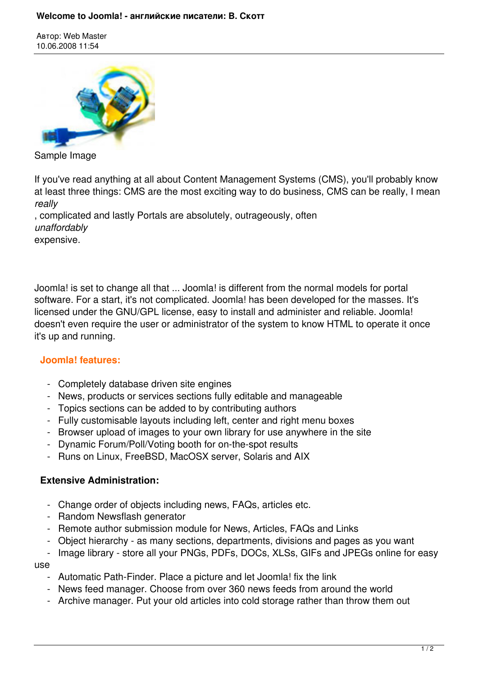Автор: Web Master 10.06.2008 11:54



Sample Image

If you've read anything at all about Content Management Systems (CMS), you'll probably know at least three things: CMS are the most exciting way to do business, CMS can be really, I mean *really*

, complicated and lastly Portals are absolutely, outrageously, often *unaffordably* expensive.

Joomla! is set to change all that ... Joomla! is different from the normal models for portal software. For a start, it's not complicated. Joomla! has been developed for the masses. It's licensed under the GNU/GPL license, easy to install and administer and reliable. Joomla! doesn't even require the user or administrator of the system to know HTML to operate it once it's up and running.

## **Joomla! features:**

- Completely database driven site engines
- News, products or services sections fully editable and manageable
- Topics sections can be added to by contributing authors
- Fully customisable layouts including left, center and right menu boxes
- Browser upload of images to your own library for use anywhere in the site
- Dynamic Forum/Poll/Voting booth for on-the-spot results
- Runs on Linux, FreeBSD, MacOSX server, Solaris and AIX

## **Extensive Administration:**

- Change order of objects including news, FAQs, articles etc.
- Random Newsflash generator
- Remote author submission module for News, Articles, FAQs and Links
- Object hierarchy as many sections, departments, divisions and pages as you want
- Image library store all your PNGs, PDFs, DOCs, XLSs, GIFs and JPEGs online for easy

use

- Automatic Path-Finder. Place a picture and let Joomla! fix the link
- News feed manager. Choose from over 360 news feeds from around the world
- Archive manager. Put your old articles into cold storage rather than throw them out